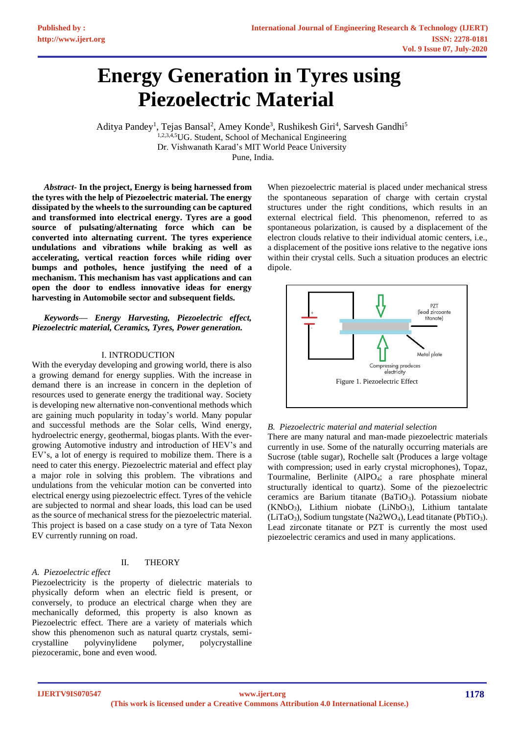# **Energy Generation in Tyres using Piezoelectric Material**

Aditya Pandey<sup>1</sup>, Tejas Bansal<sup>2</sup>, Amey Konde<sup>3</sup>, Rushikesh Giri<sup>4</sup>, Sarvesh Gandhi<sup>5</sup> 1,2,3,4,5UG. Student, School of Mechanical Engineering Dr. Vishwanath Karad's MIT World Peace University Pune, India.

*Abstract***- In the project, Energy is being harnessed from the tyres with the help of Piezoelectric material. The energy dissipated by the wheels to the surrounding can be captured and transformed into electrical energy. Tyres are a good source of pulsating/alternating force which can be converted into alternating current. The tyres experience undulations and vibrations while braking as well as accelerating, vertical reaction forces while riding over bumps and potholes, hence justifying the need of a mechanism. This mechanism has vast applications and can open the door to endless innovative ideas for energy harvesting in Automobile sector and subsequent fields.** 

*Keywords— Energy Harvesting, Piezoelectric effect, Piezoelectric material, Ceramics, Tyres, Power generation.*

#### I. INTRODUCTION

With the everyday developing and growing world, there is also a growing demand for energy supplies. With the increase in demand there is an increase in concern in the depletion of resources used to generate energy the traditional way. Society is developing new alternative non-conventional methods which are gaining much popularity in today's world. Many popular and successful methods are the Solar cells, Wind energy, hydroelectric energy, geothermal, biogas plants. With the evergrowing Automotive industry and introduction of HEV's and EV's, a lot of energy is required to mobilize them. There is a need to cater this energy. Piezoelectric material and effect play a major role in solving this problem. The vibrations and undulations from the vehicular motion can be converted into electrical energy using piezoelectric effect. Tyres of the vehicle are subjected to normal and shear loads, this load can be used as the source of mechanical stress for the piezoelectric material. This project is based on a case study on a tyre of Tata Nexon EV currently running on road.

#### II. THEORY

#### *A. Piezoelectric effect*

Piezoelectricity is the property of dielectric materials to physically deform when an electric field is present, or conversely, to produce an electrical charge when they are mechanically deformed, this property is also known as Piezoelectric effect. There are a variety of materials which show this phenomenon such as natural quartz crystals, semicrystalline polyvinylidene polymer, polycrystalline piezoceramic, bone and even wood.

When piezoelectric material is placed under mechanical stress the spontaneous separation of charge with certain crystal structures under the right conditions, which results in an external electrical field. This phenomenon, referred to as spontaneous polarization, is caused by a displacement of the electron clouds relative to their individual atomic centers, i.e., a displacement of the positive ions relative to the negative ions within their crystal cells. Such a situation produces an electric dipole.



#### *B. Piezoelectric material and material selection*

There are many natural and man-made piezoelectric materials currently in use. Some of the naturally occurring materials are Sucrose (table sugar), Rochelle salt (Produces a large voltage with compression; used in early crystal microphones), Topaz, Tourmaline, Berlinite (AlPO4; a rare phosphate mineral structurally identical to quartz). Some of the piezoelectric ceramics are Barium titanate (BaTiO3). Potassium niobate (KNbO3), Lithium niobate (LiNbO3), Lithium tantalate  $(LiTaO<sub>3</sub>)$ , Sodium tungstate (Na2WO<sub>4</sub>), Lead titanate (PbTiO<sub>3</sub>). Lead zirconate titanate or PZT is currently the most used piezoelectric ceramics and used in many applications.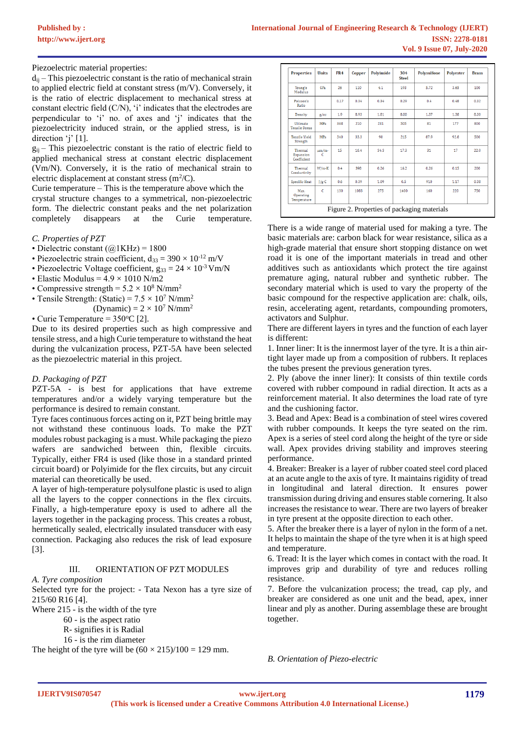Piezoelectric material properties:

 $d_{ii}$  – This piezoelectric constant is the ratio of mechanical strain to applied electric field at constant stress (m/V). Conversely, it is the ratio of electric displacement to mechanical stress at constant electric field (C/N), 'i' indicates that the electrodes are perpendicular to 'i' no. of axes and 'j' indicates that the piezoelectricity induced strain, or the applied stress, is in direction 'j' [1].

 $g_{ii}$  – This piezoelectric constant is the ratio of electric field to applied mechanical stress at constant electric displacement (Vm/N). Conversely, it is the ratio of mechanical strain to electric displacement at constant stress  $(m^2/C)$ .

Curie temperature – This is the temperature above which the crystal structure changes to a symmetrical, non-piezoelectric form. The dielectric constant peaks and the net polarization completely disappears at the Curie temperature.

#### *C. Properties of PZT*

- Dielectric constant  $(Q1KHz) = 1800$
- Piezoelectric strain coefficient,  $d_{33} = 390 \times 10^{-12}$  m/V
- Piezoelectric Voltage coefficient,  $g_{33} = 24 \times 10^{-3}$  Vm/N
- Elastic Modulus =  $4.9 \times 1010$  N/m2
- Compressive strength =  $5.2 \times 10^8$  N/mm<sup>2</sup>
- Tensile Strength: (Static) =  $7.5 \times 10^7$  N/mm<sup>2</sup>
	- (Dynamic) =  $2 \times 10^7$  N/mm<sup>2</sup>

• Curie Temperature =  $350^{\circ}$ C [2].

Due to its desired properties such as high compressive and tensile stress, and a high Curie temperature to withstand the heat during the vulcanization process, PZT-5A have been selected as the piezoelectric material in this project.

# *D. Packaging of PZT*

PZT-5A - is best for applications that have extreme temperatures and/or a widely varying temperature but the performance is desired to remain constant.

Tyre faces continuous forces acting on it, PZT being brittle may not withstand these continuous loads. To make the PZT modules robust packaging is a must. While packaging the piezo wafers are sandwiched between thin, flexible circuits. Typically, either FR4 is used (like those in a standard printed circuit board) or Polyimide for the flex circuits, but any circuit material can theoretically be used.

A layer of high-temperature polysulfone plastic is used to align all the layers to the copper connections in the flex circuits. Finally, a high-temperature epoxy is used to adhere all the layers together in the packaging process. This creates a robust, hermetically sealed, electrically insulated transducer with easy connection. Packaging also reduces the risk of lead exposure [3].

#### III. ORIENTATION OF PZT MODULES

## *A. Tyre composition*

Selected tyre for the project: - Tata Nexon has a tyre size of 215/60 R16 [4].

Where 215 - is the width of the tyre

- 60 is the aspect ratio
	- R- signifies it is Radial

16 - is the rim diameter

The height of the tyre will be  $(60 \times 215)/100 = 129$  mm.

| <b>Properties</b>                        | <b>Units</b>    | FR4  | Copper | <b>Polvimide</b> | 304<br><b>Steel</b> | <b>Polysulfone</b> | <b>Polvester</b> | <b>Brass</b>      |
|------------------------------------------|-----------------|------|--------|------------------|---------------------|--------------------|------------------|-------------------|
| Young's<br>Modulus                       | GP <sub>a</sub> | 26   | 110    | 4.1              | 193                 | 5.72               | 3.65             | 100               |
| Poisson's<br>Ratio                       |                 | 0.17 | 0.34   | 0.34             | 0.29                | 0.4                | 0.48             | 0.32 <sub>1</sub> |
| Density                                  | g/cc            | 1.9  | 8.93   | 1.81             | 8.00                | 1.37               | 1.38             | 8.30              |
| <b>Ultimate</b><br><b>Tensile Stress</b> | <b>MPa</b>      | 368  | 210    | 231              | 505                 | 81                 | 177              | 800               |
| <b>Tensile Yield</b><br>Strength         | <b>MPa</b>      | 340  | 33.3   | 90               | 215                 | 87.9               | 92.8             | 500               |
| Thermal<br>Expansion<br>Coefficient      | $\mu$ m/m-<br>c | 15   | 16.4   | 34.3             | 17.3                | 31                 | 17               | 22.0              |
| Thermal<br>Conductivity                  | $W/m-K$         | 0.4  | 398    | 0.26             | 16.2                | 0.26               | 0.15             | 200               |
| Specific Heat                            | $J/g-C$         | 0.6  | 0.39   | 1.09             | 0.5                 | 910                | 1.17             | 0.38              |
| Max.<br>Operating<br>Temperature         | $\epsilon$      | 130  | 1083   | 275              | 1400                | 160                | 220              | 750               |

There is a wide range of material used for making a tyre. The basic materials are: carbon black for wear resistance, silica as a high-grade material that ensure short stopping distance on wet road it is one of the important materials in tread and other additives such as antioxidants which protect the tire against premature aging, natural rubber and synthetic rubber. The secondary material which is used to vary the property of the basic compound for the respective application are: chalk, oils, resin, accelerating agent, retardants, compounding promoters, activators and Sulphur.

There are different layers in tyres and the function of each layer is different:

1. Inner liner: It is the innermost layer of the tyre. It is a thin airtight layer made up from a composition of rubbers. It replaces the tubes present the previous generation tyres.

2. Ply (above the inner liner): It consists of thin textile cords covered with rubber compound in radial direction. It acts as a reinforcement material. It also determines the load rate of tyre and the cushioning factor.

3. Bead and Apex: Bead is a combination of steel wires covered with rubber compounds. It keeps the tyre seated on the rim. Apex is a series of steel cord along the height of the tyre or side wall. Apex provides driving stability and improves steering performance.

4. Breaker: Breaker is a layer of rubber coated steel cord placed at an acute angle to the axis of tyre. It maintains rigidity of tread in longitudinal and lateral direction. It ensures power transmission during driving and ensures stable cornering. It also increases the resistance to wear. There are two layers of breaker in tyre present at the opposite direction to each other.

5. After the breaker there is a layer of nylon in the form of a net. It helps to maintain the shape of the tyre when it is at high speed and temperature.

6. Tread: It is the layer which comes in contact with the road. It improves grip and durability of tyre and reduces rolling resistance.

7. Before the vulcanization process; the tread, cap ply, and breaker are considered as one unit and the bead, apex, inner linear and ply as another. During assemblage these are brought together.

*B. Orientation of Piezo-electric*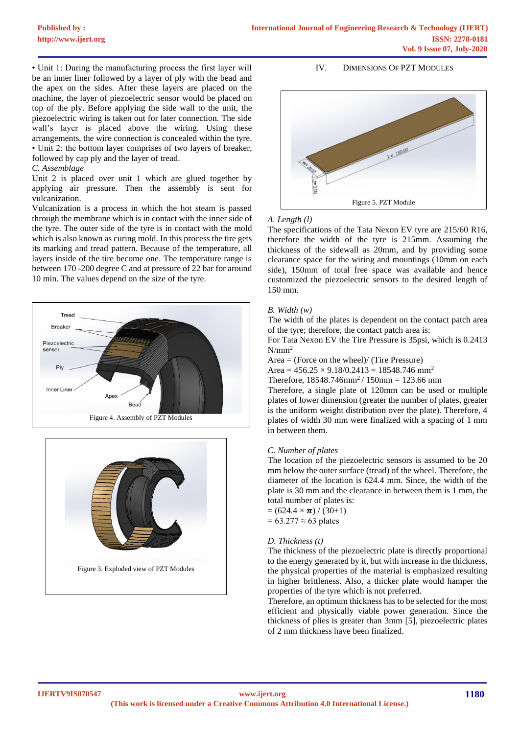• Unit 1: During the manufacturing process the first layer will be an inner liner followed by a layer of ply with the bead and the apex on the sides. After these layers are placed on the machine, the layer of piezoelectric sensor would be placed on top of the ply. Before applying the side wall to the unit, the piezoelectric wiring is taken out for later connection. The side wall's layer is placed above the wiring. Using these arrangements, the wire connection is concealed within the tyre. • Unit 2: the bottom layer comprises of two layers of breaker, followed by cap ply and the layer of tread.

#### *C. Assemblage*

Unit 2 is placed over unit 1 which are glued together by applying air pressure. Then the assembly is sent for vulcanization.

Vulcanization is a process in which the hot steam is passed through the membrane which is in contact with the inner side of the tyre. The outer side of the tyre is in contact with the mold which is also known as curing mold. In this process the tire gets its marking and tread pattern. Because of the temperature, all layers inside of the tire become one. The temperature range is between 170 -200 degree C and at pressure of 22 bar for around 10 min. The values depend on the size of the tyre.





#### IV. DIMENSIONS OF PZT MODULES



#### *A. Length (l)*

The specifications of the Tata Nexon EV tyre are 215/60 R16, therefore the width of the tyre is 215mm. Assuming the thickness of the sidewall as 20mm, and by providing some clearance space for the wiring and mountings (10mm on each side), 150mm of total free space was available and hence customized the piezoelectric sensors to the desired length of 150 mm.

#### *B. Width (w)*

The width of the plates is dependent on the contact patch area of the tyre; therefore, the contact patch area is:

For Tata Nexon EV the Tire Pressure is 35psi, which is 0.2413  $N/mm^2$ 

Area = (Force on the wheel)/ (Tire Pressure)

Area =  $456.25 \times 9.18/0.2413 = 18548.746$  mm<sup>2</sup>

Therefore,  $18548.746$ mm<sup>2</sup> /  $150$ mm = 123.66 mm

Therefore, a single plate of 120mm can be used or multiple plates of lower dimension (greater the number of plates, greater is the uniform weight distribution over the plate). Therefore, 4 plates of width 30 mm were finalized with a spacing of 1 mm in between them.

#### *C. Number of plates*

The location of the piezoelectric sensors is assumed to be 20 mm below the outer surface (tread) of the wheel. Therefore, the diameter of the location is 624.4 mm. Since, the width of the plate is 30 mm and the clearance in between them is 1 mm, the total number of plates is:

 $= (624.4 \times \pi) / (30+1)$  $= 63.277 \approx 63$  plates

#### *D. Thickness (t)*

The thickness of the piezoelectric plate is directly proportional to the energy generated by it, but with increase in the thickness, the physical properties of the material is emphasized resulting in higher brittleness. Also, a thicker plate would hamper the properties of the tyre which is not preferred.

Therefore, an optimum thickness has to be selected for the most efficient and physically viable power generation. Since the thickness of plies is greater than 3mm [5], piezoelectric plates of 2 mm thickness have been finalized.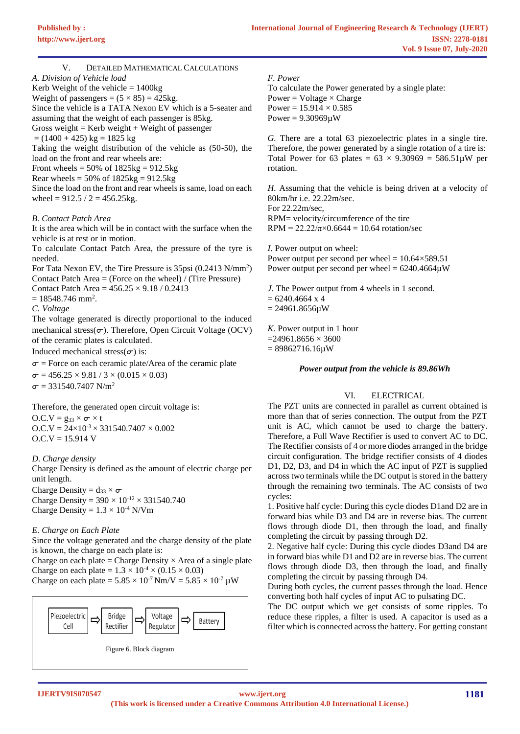V. DETAILED MATHEMATICAL CALCULATIONS *A. Division of Vehicle load*

Kerb Weight of the vehicle  $= 1400kg$ Weight of passengers =  $(5 \times 85)$  = 425kg. Since the vehicle is a TATA Nexon EV which is a 5-seater and assuming that the weight of each passenger is 85kg. Gross weight = Kerb weight + Weight of passenger  $= (1400 + 425)$  kg = 1825 kg Taking the weight distribution of the vehicle as (50-50), the load on the front and rear wheels are: Front wheels =  $50\%$  of  $1825\text{kg} = 912.5\text{kg}$ Rear wheels =  $50\%$  of  $1825\text{kg} = 912.5\text{kg}$ Since the load on the front and rear wheels is same, load on each wheel =  $912.5 / 2 = 456.25$ kg.

## *B. Contact Patch Area*

It is the area which will be in contact with the surface when the vehicle is at rest or in motion.

To calculate Contact Patch Area, the pressure of the tyre is needed.

For Tata Nexon EV, the Tire Pressure is 35psi (0.2413 N/mm<sup>2</sup>) Contact Patch Area = (Force on the wheel) / (Tire Pressure)

Contact Patch Area =  $456.25 \times 9.18 / 0.2413$ 

 $= 18548.746$  mm<sup>2</sup>.

*C. Voltage*

The voltage generated is directly proportional to the induced mechanical stress( $\sigma$ ). Therefore, Open Circuit Voltage (OCV) of the ceramic plates is calculated.

Induced mechanical stress( $\sigma$ ) is:

 $\sigma$  = Force on each ceramic plate/Area of the ceramic plate  $\sigma$  = 456.25  $\times$  9.81 / 3  $\times$  (0.015  $\times$  0.03)  $\sigma$  = 331540.7407 N/m<sup>2</sup>

Therefore, the generated open circuit voltage is:  $O.C.V = g_{33} \times \sigma \times t$  $O.C.V = 24 \times 10^{-3} \times 331540.7407 \times 0.002$ 

 $O.C.V = 15.914 V$ *D. Charge density*

Charge Density is defined as the amount of electric charge per unit length.

Charge Density =  $d_{33} \times \sigma$ Charge Density =  $390 \times 10^{-12} \times 331540.740$ Charge Density =  $1.3 \times 10^{-4}$  N/Vm

# *E. Charge on Each Plate*

Since the voltage generated and the charge density of the plate is known, the charge on each plate is:

Charge on each plate = Charge Density  $\times$  Area of a single plate Charge on each plate =  $1.3 \times 10^{-4} \times (0.15 \times 0.03)$ Charge on each plate =  $5.85 \times 10^{-7}$  Nm/V =  $5.85 \times 10^{-7}$   $\mu$ W



## *F. Power*

To calculate the Power generated by a single plate: Power = Voltage  $\times$  Charge Power =  $15.914 \times 0.585$ Power =  $9.30969\mu$ W

*G.* There are a total 63 piezoelectric plates in a single tire. Therefore, the power generated by a single rotation of a tire is: Total Power for 63 plates =  $63 \times 9.30969 = 586.51 \text{µW}$  per rotation.

*H.* Assuming that the vehicle is being driven at a velocity of 80km/hr i.e. 22.22m/sec.

For 22.22m/sec, RPM= velocity/circumference of the tire RPM =  $22.22/\pi \times 0.6644 = 10.64$  rotation/sec

*I.* Power output on wheel: Power output per second per wheel  $= 10.64 \times 589.51$ Power output per second per wheel =  $6240.4664\mu$ W

*J.* The Power output from 4 wheels in 1 second.  $= 6240.4664$  x 4  $= 24961.8656 \mu W$ *K.* Power output in 1 hour

 $=24961.8656 \times 3600$  $= 89862716.16 \mu W$ 

#### *Power output from the vehicle is 89.86Wh*

#### VI. ELECTRICAL

The PZT units are connected in parallel as current obtained is more than that of series connection. The output from the PZT unit is AC, which cannot be used to charge the battery. Therefore, a Full Wave Rectifier is used to convert AC to DC. The Rectifier consists of 4 or more diodes arranged in the bridge circuit configuration. The bridge rectifier consists of 4 diodes D1, D2, D3, and D4 in which the AC input of PZT is supplied across two terminals while the DC output is stored in the battery through the remaining two terminals. The AC consists of two cycles:

1. Positive half cycle: During this cycle diodes D1and D2 are in forward bias while D3 and D4 are in reverse bias. The current flows through diode D1, then through the load, and finally completing the circuit by passing through D2.

2. Negative half cycle: During this cycle diodes D3and D4 are in forward bias while D1 and D2 are in reverse bias. The current flows through diode D3, then through the load, and finally completing the circuit by passing through D4.

During both cycles, the current passes through the load. Hence converting both half cycles of input AC to pulsating DC.

The DC output which we get consists of some ripples. To reduce these ripples, a filter is used. A capacitor is used as a filter which is connected across the battery. For getting constant